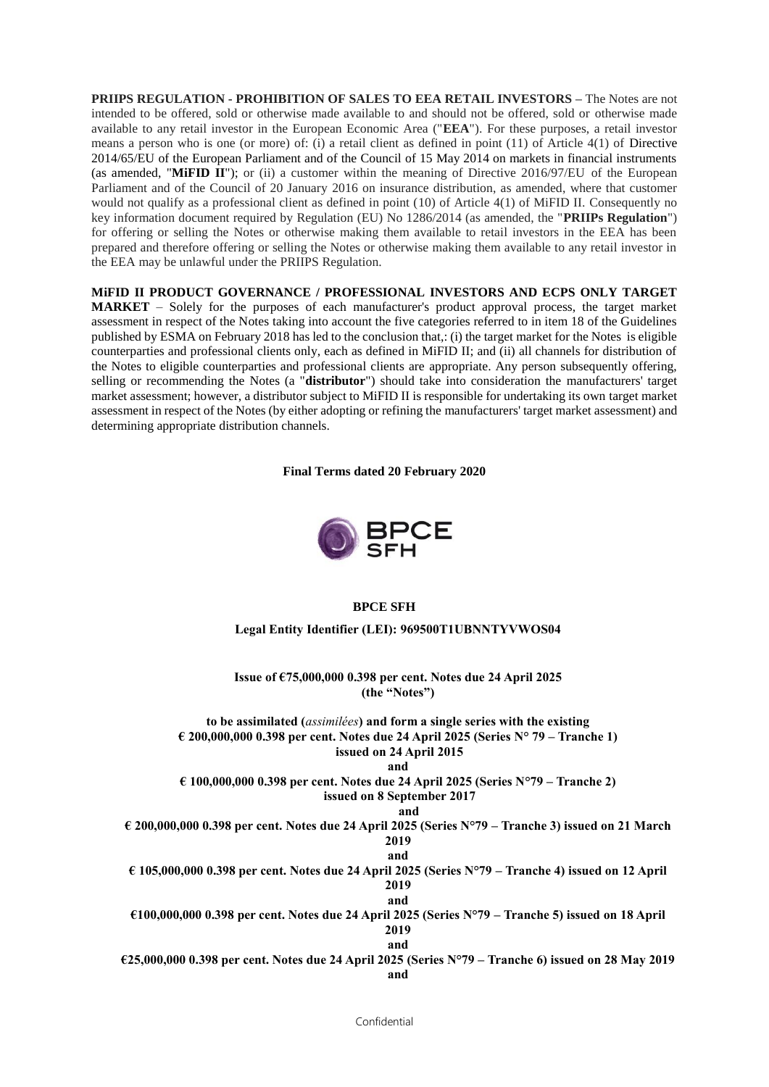**PRIIPS REGULATION - PROHIBITION OF SALES TO EEA RETAIL INVESTORS –** The Notes are not intended to be offered, sold or otherwise made available to and should not be offered, sold or otherwise made available to any retail investor in the European Economic Area ("**EEA**"). For these purposes, a retail investor means a person who is one (or more) of: (i) a retail client as defined in point (11) of Article 4(1) of Directive 2014/65/EU of the European Parliament and of the Council of 15 May 2014 on markets in financial instruments (as amended, "**MiFID II**"); or (ii) a customer within the meaning of Directive 2016/97/EU of the European Parliament and of the Council of 20 January 2016 on insurance distribution, as amended, where that customer would not qualify as a professional client as defined in point (10) of Article 4(1) of MiFID II. Consequently no key information document required by Regulation (EU) No 1286/2014 (as amended, the "**PRIIPs Regulation**") for offering or selling the Notes or otherwise making them available to retail investors in the EEA has been prepared and therefore offering or selling the Notes or otherwise making them available to any retail investor in the EEA may be unlawful under the PRIIPS Regulation.

**MiFID II PRODUCT GOVERNANCE / PROFESSIONAL INVESTORS AND ECPS ONLY TARGET MARKET** – Solely for the purposes of each manufacturer's product approval process, the target market assessment in respect of the Notes taking into account the five categories referred to in item 18 of the Guidelines published by ESMA on February 2018 has led to the conclusion that,: (i) the target market for the Notes is eligible counterparties and professional clients only, each as defined in MiFID II; and (ii) all channels for distribution of the Notes to eligible counterparties and professional clients are appropriate. Any person subsequently offering, selling or recommending the Notes (a "**distributor**") should take into consideration the manufacturers' target market assessment; however, a distributor subject to MiFID II is responsible for undertaking its own target market assessment in respect of the Notes (by either adopting or refining the manufacturers' target market assessment) and determining appropriate distribution channels.

**Final Terms dated 20 February 2020**



## **BPCE SFH**

**Legal Entity Identifier (LEI): 969500T1UBNNTYVWOS04**

**Issue of €75,000,000 0.398 per cent. Notes due 24 April 2025 (the "Notes")**

**to be assimilated (***assimilées***) and form a single series with the existing € 200,000,000 0.398 per cent. Notes due 24 April 2025 (Series N° 79 – Tranche 1) issued on 24 April 2015** 

**and** 

**€ 100,000,000 0.398 per cent. Notes due 24 April 2025 (Series N°79 – Tranche 2) issued on 8 September 2017**

#### **and**

**€ 200,000,000 0.398 per cent. Notes due 24 April 2025 (Series N°79 – Tranche 3) issued on 21 March 2019 and**

**€ 105,000,000 0.398 per cent. Notes due 24 April 2025 (Series N°79 – Tranche 4) issued on 12 April 2019**

**and €100,000,000 0.398 per cent. Notes due 24 April 2025 (Series N°79 – Tranche 5) issued on 18 April 2019**

**and**

**€25,000,000 0.398 per cent. Notes due 24 April 2025 (Series N°79 – Tranche 6) issued on 28 May 2019 and**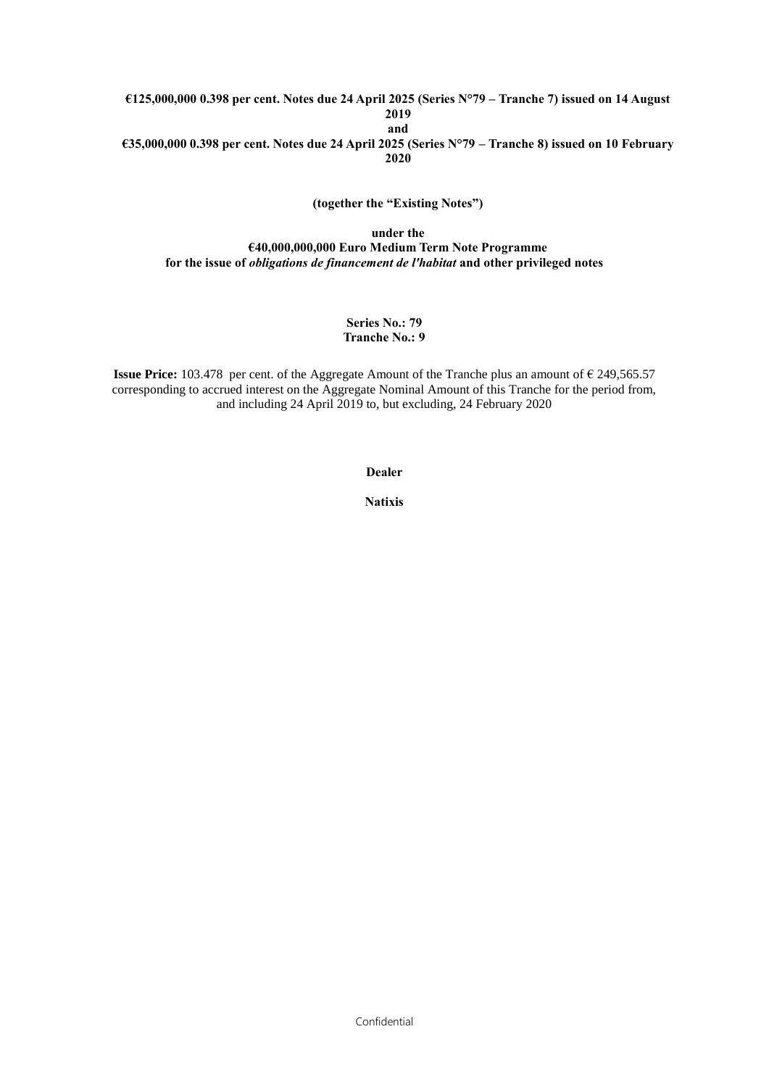### **€125,000,000 0.398 per cent. Notes due 24 April 2025 (Series N°79 – Tranche 7) issued on 14 August 2019 and €35,000,000 0.398 per cent. Notes due 24 April 2025 (Series N°79 – Tranche 8) issued on 10 February**

**2020**

**(together the "Existing Notes")**

### **under the €40,000,000,000 Euro Medium Term Note Programme for the issue of** *obligations de financement de l'habitat* **and other privileged notes**

### **Series No.: 79 Tranche No.: 9**

**Issue Price:** 103.478 per cent. of the Aggregate Amount of the Tranche plus an amount of € 249,565.57 corresponding to accrued interest on the Aggregate Nominal Amount of this Tranche for the period from, and including 24 April 2019 to, but excluding, 24 February 2020

**Dealer**

**Natixis**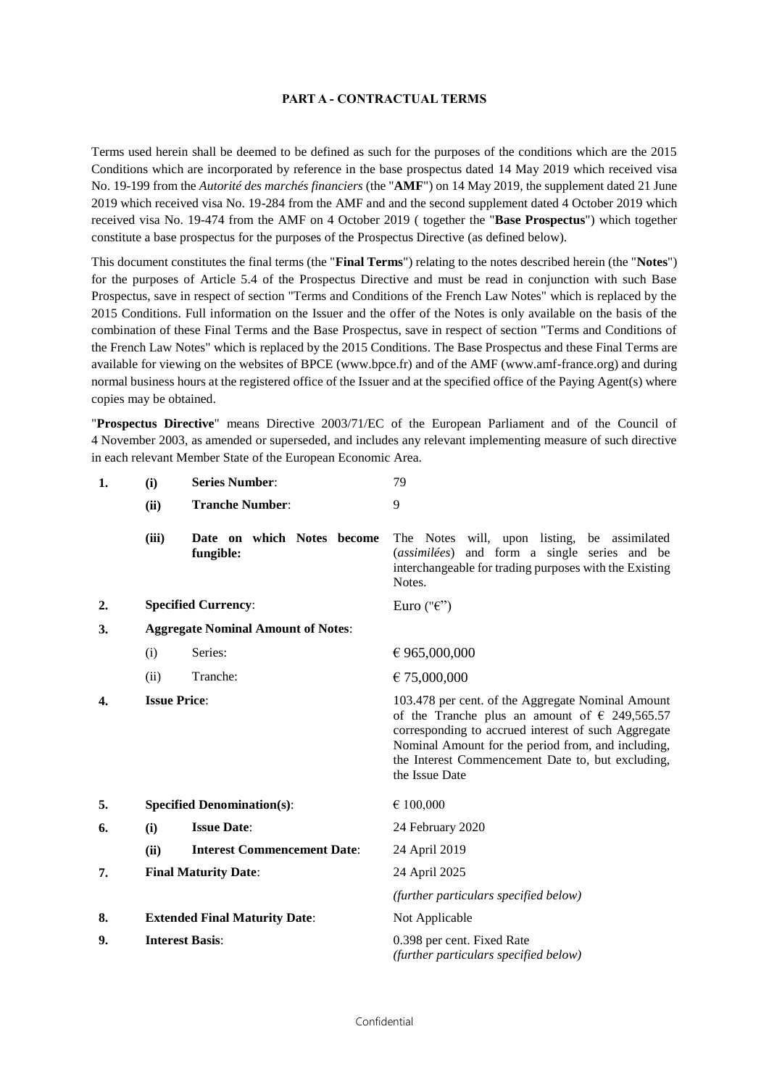#### **PART A - CONTRACTUAL TERMS**

Terms used herein shall be deemed to be defined as such for the purposes of the conditions which are the 2015 Conditions which are incorporated by reference in the base prospectus dated 14 May 2019 which received visa No. 19-199 from the *Autorité des marchés financiers* (the "**AMF**") on 14 May 2019, the supplement dated 21 June 2019 which received visa No. 19-284 from the AMF and and the second supplement dated 4 October 2019 which received visa No. 19-474 from the AMF on 4 October 2019 ( together the "**Base Prospectus**") which together constitute a base prospectus for the purposes of the Prospectus Directive (as defined below).

This document constitutes the final terms (the "**Final Terms**") relating to the notes described herein (the "**Notes**") for the purposes of Article 5.4 of the Prospectus Directive and must be read in conjunction with such Base Prospectus, save in respect of section "Terms and Conditions of the French Law Notes" which is replaced by the 2015 Conditions. Full information on the Issuer and the offer of the Notes is only available on the basis of the combination of these Final Terms and the Base Prospectus, save in respect of section "Terms and Conditions of the French Law Notes" which is replaced by the 2015 Conditions. The Base Prospectus and these Final Terms are available for viewing on the websites of BPCE (www.bpce.fr) and of the AMF (www.amf-france.org) and during normal business hours at the registered office of the Issuer and at the specified office of the Paying Agent(s) where copies may be obtained.

"**Prospectus Directive**" means Directive 2003/71/EC of the European Parliament and of the Council of 4 November 2003, as amended or superseded, and includes any relevant implementing measure of such directive in each relevant Member State of the European Economic Area.

| 1. | (i)                                       | <b>Series Number:</b>                   | 79                                                                                                                                                                                                                                                                                              |
|----|-------------------------------------------|-----------------------------------------|-------------------------------------------------------------------------------------------------------------------------------------------------------------------------------------------------------------------------------------------------------------------------------------------------|
|    | (ii)                                      | <b>Tranche Number:</b>                  | 9                                                                                                                                                                                                                                                                                               |
|    | (iii)                                     | Date on which Notes become<br>fungible: | The Notes will, upon listing, be assimilated<br>(assimilées) and form a single series and be<br>interchangeable for trading purposes with the Existing<br>Notes.                                                                                                                                |
| 2. |                                           | <b>Specified Currency:</b>              | Euro (" $\epsilon$ ")                                                                                                                                                                                                                                                                           |
| 3. | <b>Aggregate Nominal Amount of Notes:</b> |                                         |                                                                                                                                                                                                                                                                                                 |
|    | (i)                                       | Series:                                 | € 965,000,000                                                                                                                                                                                                                                                                                   |
|    | (ii)                                      | Tranche:                                | € 75,000,000                                                                                                                                                                                                                                                                                    |
| 4. | <b>Issue Price:</b>                       |                                         | 103.478 per cent. of the Aggregate Nominal Amount<br>of the Tranche plus an amount of $\epsilon$ 249,565.57<br>corresponding to accrued interest of such Aggregate<br>Nominal Amount for the period from, and including,<br>the Interest Commencement Date to, but excluding,<br>the Issue Date |
| 5. |                                           | <b>Specified Denomination(s):</b>       | $\epsilon$ 100,000                                                                                                                                                                                                                                                                              |
| 6. | (i)                                       | <b>Issue Date:</b>                      | 24 February 2020                                                                                                                                                                                                                                                                                |
|    | (ii)                                      | <b>Interest Commencement Date:</b>      | 24 April 2019                                                                                                                                                                                                                                                                                   |
| 7. |                                           | <b>Final Maturity Date:</b>             | 24 April 2025                                                                                                                                                                                                                                                                                   |
|    |                                           |                                         | (further particulars specified below)                                                                                                                                                                                                                                                           |
| 8. |                                           | <b>Extended Final Maturity Date:</b>    | Not Applicable                                                                                                                                                                                                                                                                                  |
| 9. |                                           | <b>Interest Basis:</b>                  | 0.398 per cent. Fixed Rate<br>(further particulars specified below)                                                                                                                                                                                                                             |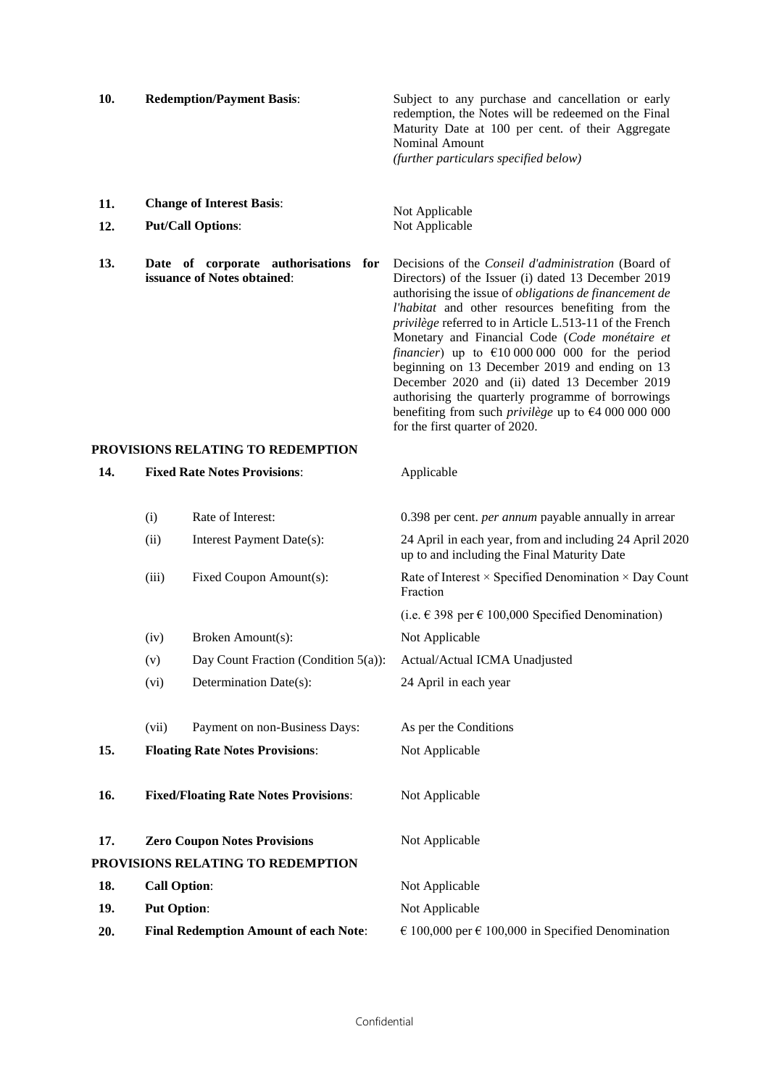| 10. | <b>Redemption/Payment Basis:</b> | Subject to any purchase and cancellation or early<br>redemption, the Notes will be redeemed on the Final<br>Maturity Date at 100 per cent. of their Aggregate<br>Nominal Amount<br>(further particulars specified below) |
|-----|----------------------------------|--------------------------------------------------------------------------------------------------------------------------------------------------------------------------------------------------------------------------|
| 11. | <b>Change of Interest Basis:</b> | Not Applicable                                                                                                                                                                                                           |
| 12. | <b>Put/Call Options:</b>         | Not Applicable                                                                                                                                                                                                           |

**13. Date of corporate authorisations for issuance of Notes obtained**:

**14. Fixed Rate Notes Provisions**: Applicable

Decisions of the *Conseil d'administration* (Board of Directors) of the Issuer (i) dated 13 December 2019 authorising the issue of *obligations de financement de l'habitat* and other resources benefiting from the *privilège* referred to in Article L.513-11 of the French Monetary and Financial Code (*Code monétaire et financier*) up to  $\epsilon$ 10 000 000 000 for the period beginning on 13 December 2019 and ending on 13 December 2020 and (ii) dated 13 December 2019 authorising the quarterly programme of borrowings benefiting from such *privilège* up to €4 000 000 000 for the first quarter of 2020.

## **PROVISIONS RELATING TO REDEMPTION**

|     | (i)                 | Rate of Interest:                            | 0.398 per cent. <i>per annum</i> payable annually in arrear                                            |
|-----|---------------------|----------------------------------------------|--------------------------------------------------------------------------------------------------------|
|     | (ii)                | Interest Payment Date(s):                    | 24 April in each year, from and including 24 April 2020<br>up to and including the Final Maturity Date |
|     | (iii)               | Fixed Coupon Amount(s):                      | Rate of Interest $\times$ Specified Denomination $\times$ Day Count<br>Fraction                        |
|     |                     |                                              | (i.e. € 398 per € 100,000 Specified Denomination)                                                      |
|     | (iv)                | Broken Amount(s):                            | Not Applicable                                                                                         |
|     | (v)                 | Day Count Fraction (Condition $5(a)$ ):      | Actual/Actual ICMA Unadjusted                                                                          |
|     | (vi)                | Determination Date(s):                       | 24 April in each year                                                                                  |
|     |                     |                                              |                                                                                                        |
|     | (vii)               | Payment on non-Business Days:                | As per the Conditions                                                                                  |
| 15. |                     | <b>Floating Rate Notes Provisions:</b>       | Not Applicable                                                                                         |
|     |                     |                                              |                                                                                                        |
| 16. |                     | <b>Fixed/Floating Rate Notes Provisions:</b> | Not Applicable                                                                                         |
|     |                     |                                              |                                                                                                        |
| 17. |                     | <b>Zero Coupon Notes Provisions</b>          | Not Applicable                                                                                         |
|     |                     | PROVISIONS RELATING TO REDEMPTION            |                                                                                                        |
| 18. | <b>Call Option:</b> |                                              | Not Applicable                                                                                         |
| 19. | <b>Put Option:</b>  |                                              | Not Applicable                                                                                         |
| 20. |                     | <b>Final Redemption Amount of each Note:</b> | $\in$ 100,000 per $\in$ 100,000 in Specified Denomination                                              |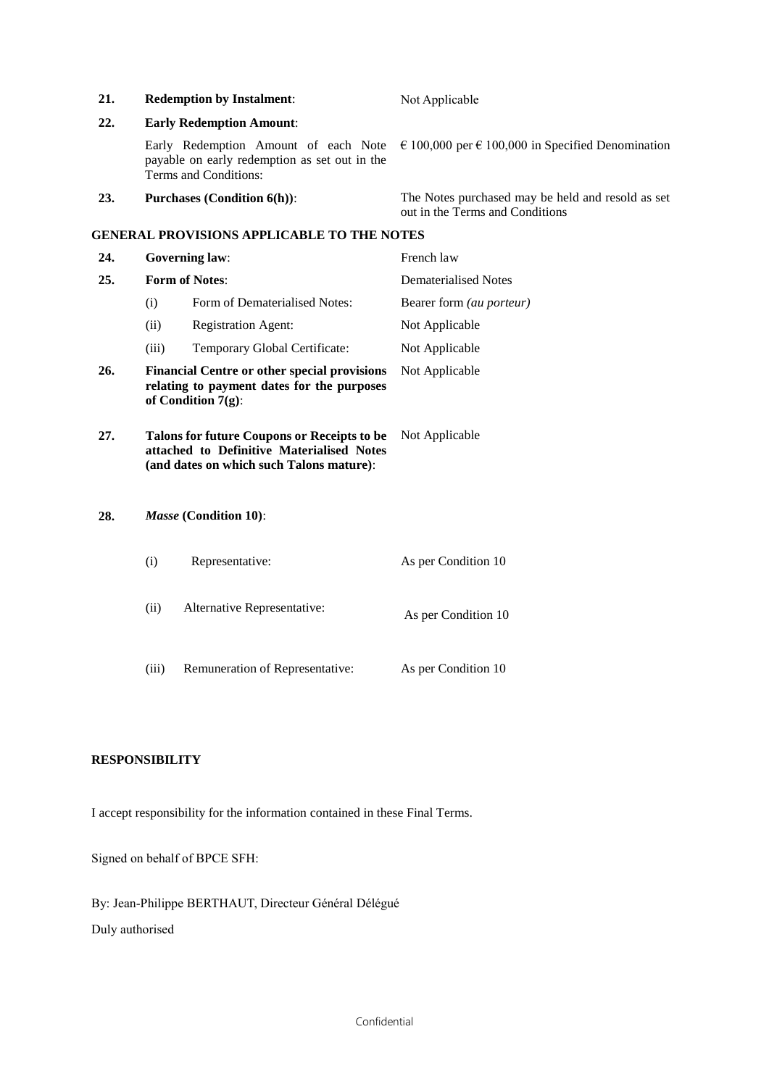| 21. |                       | <b>Redemption by Instalment:</b>                                                                                                            | Not Applicable                                                                       |
|-----|-----------------------|---------------------------------------------------------------------------------------------------------------------------------------------|--------------------------------------------------------------------------------------|
| 22. |                       | <b>Early Redemption Amount:</b>                                                                                                             |                                                                                      |
|     |                       | Early Redemption Amount of each Note<br>payable on early redemption as set out in the<br>Terms and Conditions:                              | $\in$ 100,000 per $\in$ 100,000 in Specified Denomination                            |
| 23. |                       | <b>Purchases (Condition 6(h)):</b>                                                                                                          | The Notes purchased may be held and resold as set<br>out in the Terms and Conditions |
|     |                       | <b>GENERAL PROVISIONS APPLICABLE TO THE NOTES</b>                                                                                           |                                                                                      |
| 24. |                       | <b>Governing law:</b>                                                                                                                       | French law                                                                           |
| 25. | <b>Form of Notes:</b> |                                                                                                                                             | <b>Dematerialised Notes</b>                                                          |
|     | (i)                   | Form of Dematerialised Notes:                                                                                                               | Bearer form (au porteur)                                                             |
|     | (ii)                  | <b>Registration Agent:</b>                                                                                                                  | Not Applicable                                                                       |
|     | (iii)                 | Temporary Global Certificate:                                                                                                               | Not Applicable                                                                       |
| 26. |                       | <b>Financial Centre or other special provisions</b><br>relating to payment dates for the purposes<br>of Condition $7(g)$ :                  | Not Applicable                                                                       |
| 27. |                       | <b>Talons for future Coupons or Receipts to be</b><br>attached to Definitive Materialised Notes<br>(and dates on which such Talons mature): | Not Applicable                                                                       |
| 28. |                       | Masse (Condition 10):                                                                                                                       |                                                                                      |
|     | (i)                   | Representative:                                                                                                                             | As per Condition 10                                                                  |
|     | (ii)                  | Alternative Representative:                                                                                                                 | As per Condition 10                                                                  |
|     | (iii)                 | Remuneration of Representative:                                                                                                             | As per Condition 10                                                                  |

# **RESPONSIBILITY**

I accept responsibility for the information contained in these Final Terms.

Signed on behalf of BPCE SFH:

By: Jean-Philippe BERTHAUT, Directeur Général Délégué Duly authorised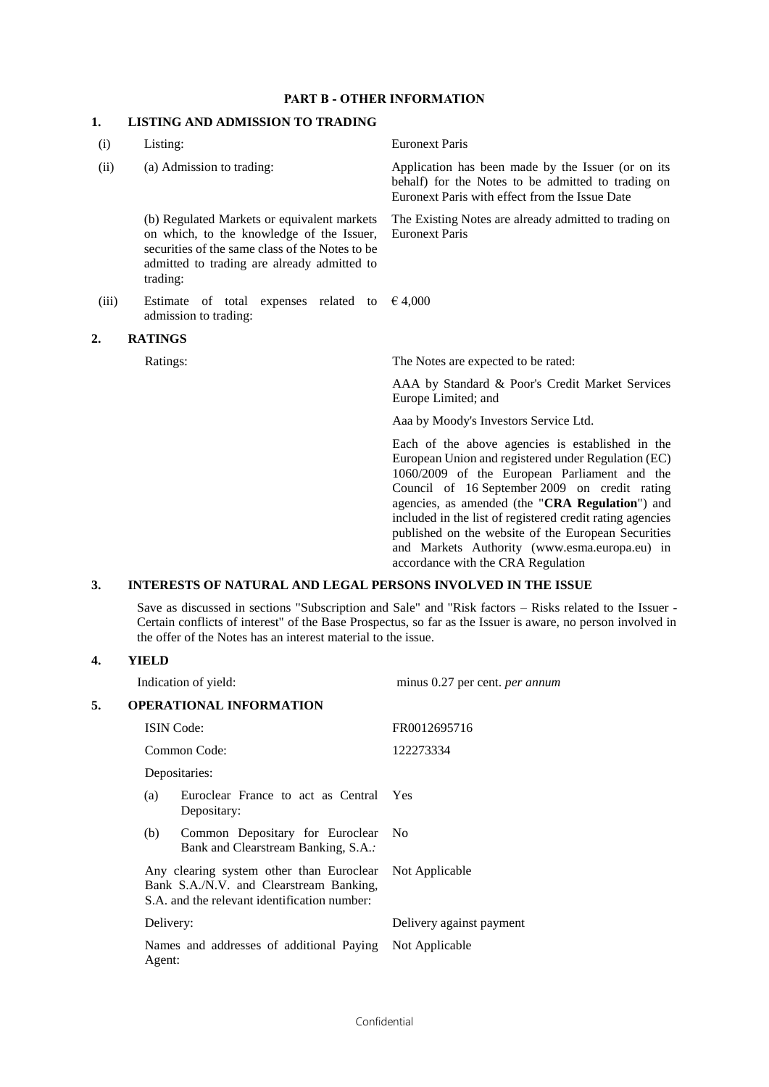### **PART B - OTHER INFORMATION**

## **1. LISTING AND ADMISSION TO TRADING**

| Listing:                                                                                                                                                                                               | <b>Euronext Paris</b>                                                                                                                                                                                                                                                                                                                                                                                                                                                  |
|--------------------------------------------------------------------------------------------------------------------------------------------------------------------------------------------------------|------------------------------------------------------------------------------------------------------------------------------------------------------------------------------------------------------------------------------------------------------------------------------------------------------------------------------------------------------------------------------------------------------------------------------------------------------------------------|
| (a) Admission to trading:                                                                                                                                                                              | Application has been made by the Issuer (or on its<br>behalf) for the Notes to be admitted to trading on<br>Euronext Paris with effect from the Issue Date                                                                                                                                                                                                                                                                                                             |
| (b) Regulated Markets or equivalent markets<br>on which, to the knowledge of the Issuer,<br>securities of the same class of the Notes to be<br>admitted to trading are already admitted to<br>trading: | The Existing Notes are already admitted to trading on<br><b>Euronext Paris</b>                                                                                                                                                                                                                                                                                                                                                                                         |
| Estimate of total expenses related to<br>admission to trading:                                                                                                                                         | € 4,000                                                                                                                                                                                                                                                                                                                                                                                                                                                                |
| <b>RATINGS</b>                                                                                                                                                                                         |                                                                                                                                                                                                                                                                                                                                                                                                                                                                        |
| Ratings:                                                                                                                                                                                               | The Notes are expected to be rated:                                                                                                                                                                                                                                                                                                                                                                                                                                    |
|                                                                                                                                                                                                        | AAA by Standard & Poor's Credit Market Services<br>Europe Limited; and                                                                                                                                                                                                                                                                                                                                                                                                 |
|                                                                                                                                                                                                        | Aaa by Moody's Investors Service Ltd.                                                                                                                                                                                                                                                                                                                                                                                                                                  |
|                                                                                                                                                                                                        | Each of the above agencies is established in the<br>European Union and registered under Regulation (EC)<br>1060/2009 of the European Parliament and the<br>Council of 16 September 2009 on credit rating<br>agencies, as amended (the "CRA Regulation") and<br>included in the list of registered credit rating agencies<br>published on the website of the European Securities<br>and Markets Authority (www.esma.europa.eu) in<br>accordance with the CRA Regulation |
|                                                                                                                                                                                                        |                                                                                                                                                                                                                                                                                                                                                                                                                                                                        |

## **3. INTERESTS OF NATURAL AND LEGAL PERSONS INVOLVED IN THE ISSUE**

Save as discussed in sections "Subscription and Sale" and "Risk factors – Risks related to the Issuer - Certain conflicts of interest" of the Base Prospectus, so far as the Issuer is aware, no person involved in the offer of the Notes has an interest material to the issue.

### **4. YIELD**

|    | Indication of yield:                                                                                                                               | minus 0.27 per cent. per annum |  |
|----|----------------------------------------------------------------------------------------------------------------------------------------------------|--------------------------------|--|
| 5. | <b>OPERATIONAL INFORMATION</b>                                                                                                                     |                                |  |
|    | <b>ISIN</b> Code:                                                                                                                                  | FR0012695716                   |  |
|    | Common Code:                                                                                                                                       | 122273334                      |  |
|    | Depositaries:                                                                                                                                      |                                |  |
|    | Euroclear France to act as Central Yes<br>(a)<br>Depositary:                                                                                       |                                |  |
|    | Common Depositary for Euroclear<br>(b)<br>Bank and Clearstream Banking, S.A.:                                                                      | - No                           |  |
|    | Any clearing system other than Euroclear Not Applicable<br>Bank S.A./N.V. and Clearstream Banking,<br>S.A. and the relevant identification number: |                                |  |
|    | Delivery:                                                                                                                                          | Delivery against payment       |  |
|    | Names and addresses of additional Paying<br>Agent:                                                                                                 | Not Applicable                 |  |